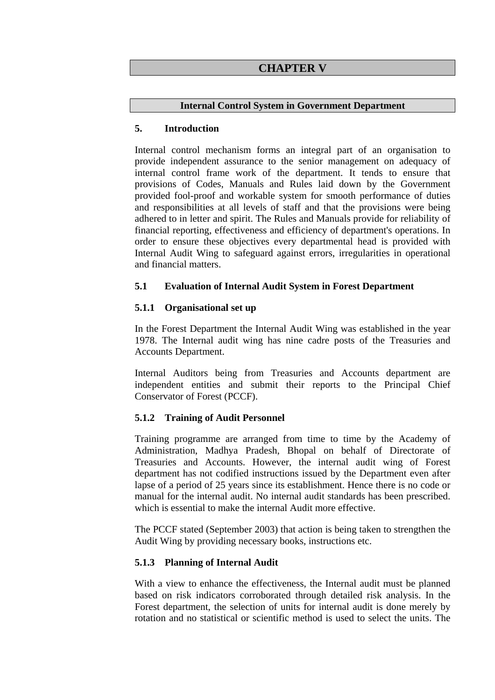## **CHAPTER V**

#### **Internal Control System in Government Department**

#### **5. Introduction**

Internal control mechanism forms an integral part of an organisation to provide independent assurance to the senior management on adequacy of internal control frame work of the department. It tends to ensure that provisions of Codes, Manuals and Rules laid down by the Government provided fool-proof and workable system for smooth performance of duties and responsibilities at all levels of staff and that the provisions were being adhered to in letter and spirit. The Rules and Manuals provide for reliability of financial reporting, effectiveness and efficiency of department's operations. In order to ensure these objectives every departmental head is provided with Internal Audit Wing to safeguard against errors, irregularities in operational and financial matters.

#### **5.1 Evaluation of Internal Audit System in Forest Department**

#### **5.1.1 Organisational set up**

In the Forest Department the Internal Audit Wing was established in the year 1978. The Internal audit wing has nine cadre posts of the Treasuries and Accounts Department.

Internal Auditors being from Treasuries and Accounts department are independent entities and submit their reports to the Principal Chief Conservator of Forest (PCCF).

### **5.1.2 Training of Audit Personnel**

Training programme are arranged from time to time by the Academy of Administration, Madhya Pradesh, Bhopal on behalf of Directorate of Treasuries and Accounts. However, the internal audit wing of Forest department has not codified instructions issued by the Department even after lapse of a period of 25 years since its establishment. Hence there is no code or manual for the internal audit. No internal audit standards has been prescribed. which is essential to make the internal Audit more effective.

The PCCF stated (September 2003) that action is being taken to strengthen the Audit Wing by providing necessary books, instructions etc.

### **5.1.3 Planning of Internal Audit**

With a view to enhance the effectiveness, the Internal audit must be planned based on risk indicators corroborated through detailed risk analysis. In the Forest department, the selection of units for internal audit is done merely by rotation and no statistical or scientific method is used to select the units. The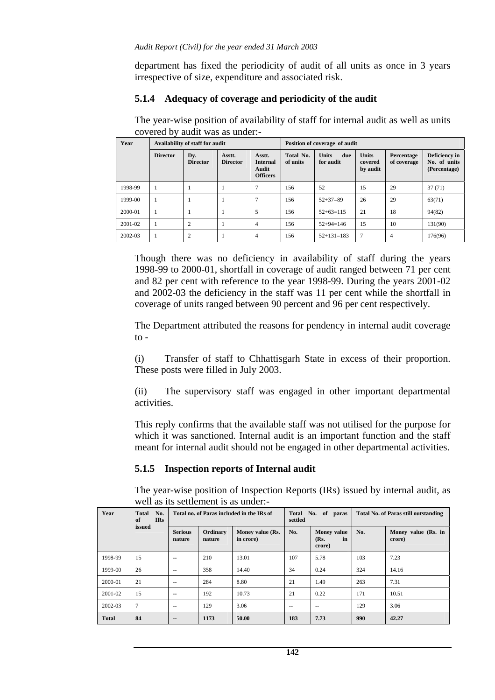department has fixed the periodicity of audit of all units as once in 3 years irrespective of size, expenditure and associated risk.

#### **5.1.4 Adequacy of coverage and periodicity of the audit**

The year-wise position of availability of staff for internal audit as well as units covered by audit was as under:-

| Year    | Availability of staff for audit |                        |                           |                                                       | Position of coverage of audit |                                  |                                     |                           |                                               |
|---------|---------------------------------|------------------------|---------------------------|-------------------------------------------------------|-------------------------------|----------------------------------|-------------------------------------|---------------------------|-----------------------------------------------|
|         | <b>Director</b>                 | Dv.<br><b>Director</b> | Asstt.<br><b>Director</b> | Asstt.<br><b>Internal</b><br>Audit<br><b>Officers</b> | Total No.<br>of units         | <b>Units</b><br>due<br>for audit | <b>Units</b><br>covered<br>by audit | Percentage<br>of coverage | Deficiency in<br>No. of units<br>(Percentage) |
| 1998-99 |                                 |                        |                           | 7                                                     | 156                           | 52                               | 15                                  | 29                        | 37(71)                                        |
| 1999-00 |                                 |                        |                           | 7                                                     | 156                           | $52+37=89$                       | 26                                  | 29                        | 63(71)                                        |
| 2000-01 | $\mathbf{1}$                    |                        |                           | 5                                                     | 156                           | $52+63=115$                      | 21                                  | 18                        | 94(82)                                        |
| 2001-02 | -1                              | $\overline{2}$         |                           | 4                                                     | 156                           | $52+94=146$                      | 15                                  | 10                        | 131(90)                                       |
| 2002-03 | -1                              | $\overline{2}$         |                           | 4                                                     | 156                           | $52+131=183$                     | 7                                   | $\overline{4}$            | 176(96)                                       |

Though there was no deficiency in availability of staff during the years 1998-99 to 2000-01, shortfall in coverage of audit ranged between 71 per cent and 82 per cent with reference to the year 1998-99. During the years 2001-02 and 2002-03 the deficiency in the staff was 11 per cent while the shortfall in coverage of units ranged between 90 percent and 96 per cent respectively.

The Department attributed the reasons for pendency in internal audit coverage  $to -$ 

(i) Transfer of staff to Chhattisgarh State in excess of their proportion. These posts were filled in July 2003.

(ii) The supervisory staff was engaged in other important departmental activities.

This reply confirms that the available staff was not utilised for the purpose for which it was sanctioned. Internal audit is an important function and the staff meant for internal audit should not be engaged in other departmental activities.

### **5.1.5 Inspection reports of Internal audit**

The year-wise position of Inspection Reports (IRs) issued by internal audit, as well as its settlement is as under:-

| Year         | No.<br><b>Total</b><br><b>IRs</b><br>of | Total no. of Paras included in the IRs of |                    |                               | No. of paras<br>Total<br>settled |                                            | <b>Total No. of Paras still outstanding</b> |                               |
|--------------|-----------------------------------------|-------------------------------------------|--------------------|-------------------------------|----------------------------------|--------------------------------------------|---------------------------------------------|-------------------------------|
|              | issued                                  | <b>Serious</b><br>nature                  | Ordinary<br>nature | Money value (Rs.<br>in crore) | No.                              | <b>Money value</b><br>(Rs.<br>in<br>crore) | No.                                         | Money value (Rs. in<br>crore) |
| 1998-99      | 15                                      | $-$                                       | 210                | 13.01                         | 107                              | 5.78                                       | 103                                         | 7.23                          |
| 1999-00      | 26                                      | $-$                                       | 358                | 14.40                         | 34                               | 0.24                                       | 324                                         | 14.16                         |
| 2000-01      | 21                                      | $- -$                                     | 284                | 8.80                          | 21                               | 1.49                                       | 263                                         | 7.31                          |
| 2001-02      | 15                                      | $- -$                                     | 192                | 10.73                         | 21                               | 0.22                                       | 171                                         | 10.51                         |
| 2002-03      | $\tau$                                  | $- -$                                     | 129                | 3.06                          | $-$                              | $- -$                                      | 129                                         | 3.06                          |
| <b>Total</b> | 84                                      | --                                        | 1173               | 50.00                         | 183                              | 7.73                                       | 990                                         | 42.27                         |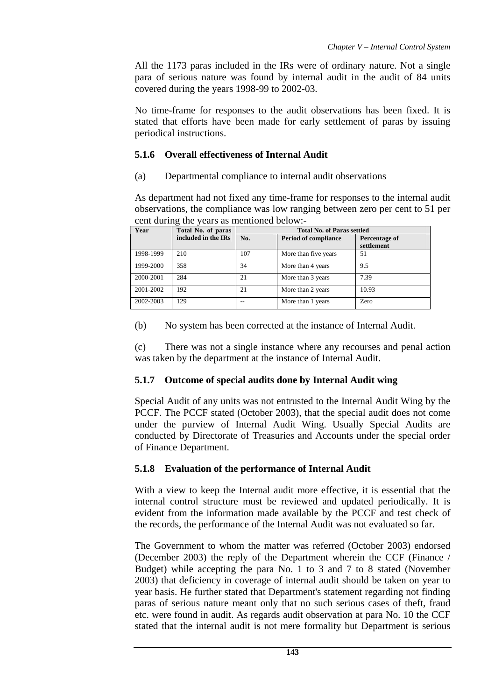All the 1173 paras included in the IRs were of ordinary nature. Not a single para of serious nature was found by internal audit in the audit of 84 units covered during the years 1998-99 to 2002-03.

No time-frame for responses to the audit observations has been fixed. It is stated that efforts have been made for early settlement of paras by issuing periodical instructions.

## **5.1.6 Overall effectiveness of Internal Audit**

(a) Departmental compliance to internal audit observations

As department had not fixed any time-frame for responses to the internal audit observations, the compliance was low ranging between zero per cent to 51 per cent during the years as mentioned below:-

| Year      | Total No. of paras  | <b>Total No. of Paras settled</b>  |                      |               |  |  |  |
|-----------|---------------------|------------------------------------|----------------------|---------------|--|--|--|
|           | included in the IRs | No.<br><b>Period of compliance</b> |                      | Percentage of |  |  |  |
|           |                     |                                    |                      | settlement    |  |  |  |
| 1998-1999 | 210                 | 107                                | More than five years | 51            |  |  |  |
| 1999-2000 | 358                 | 34                                 | More than 4 years    | 9.5           |  |  |  |
| 2000-2001 | 284                 | 21                                 | More than 3 years    | 7.39          |  |  |  |
| 2001-2002 | 192                 | 21                                 | More than 2 years    | 10.93         |  |  |  |
| 2002-2003 | 129                 |                                    | More than 1 years    | Zero          |  |  |  |

(b) No system has been corrected at the instance of Internal Audit.

(c) There was not a single instance where any recourses and penal action was taken by the department at the instance of Internal Audit.

# **5.1.7 Outcome of special audits done by Internal Audit wing**

Special Audit of any units was not entrusted to the Internal Audit Wing by the PCCF. The PCCF stated (October 2003), that the special audit does not come under the purview of Internal Audit Wing. Usually Special Audits are conducted by Directorate of Treasuries and Accounts under the special order of Finance Department.

# **5.1.8 Evaluation of the performance of Internal Audit**

With a view to keep the Internal audit more effective, it is essential that the internal control structure must be reviewed and updated periodically. It is evident from the information made available by the PCCF and test check of the records, the performance of the Internal Audit was not evaluated so far.

The Government to whom the matter was referred (October 2003) endorsed (December 2003) the reply of the Department wherein the CCF (Finance / Budget) while accepting the para No. 1 to 3 and 7 to 8 stated (November 2003) that deficiency in coverage of internal audit should be taken on year to year basis. He further stated that Department's statement regarding not finding paras of serious nature meant only that no such serious cases of theft, fraud etc. were found in audit. As regards audit observation at para No. 10 the CCF stated that the internal audit is not mere formality but Department is serious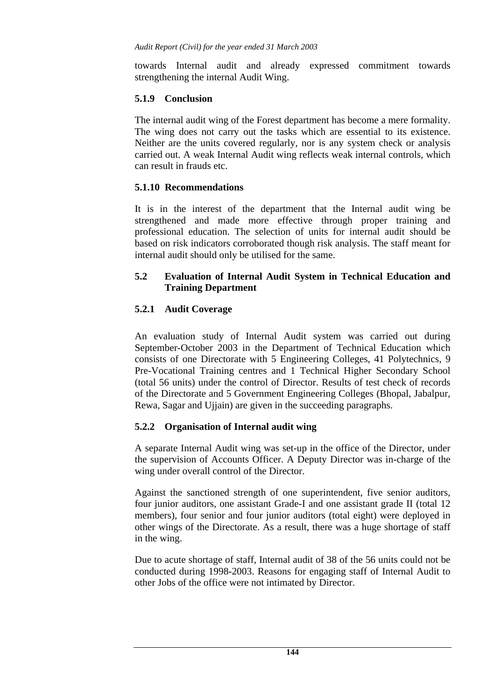towards Internal audit and already expressed commitment towards strengthening the internal Audit Wing.

#### **5.1.9 Conclusion**

The internal audit wing of the Forest department has become a mere formality. The wing does not carry out the tasks which are essential to its existence. Neither are the units covered regularly, nor is any system check or analysis carried out. A weak Internal Audit wing reflects weak internal controls, which can result in frauds etc.

### **5.1.10 Recommendations**

It is in the interest of the department that the Internal audit wing be strengthened and made more effective through proper training and professional education. The selection of units for internal audit should be based on risk indicators corroborated though risk analysis. The staff meant for internal audit should only be utilised for the same.

### **5.2 Evaluation of Internal Audit System in Technical Education and Training Department**

## **5.2.1 Audit Coverage**

An evaluation study of Internal Audit system was carried out during September-October 2003 in the Department of Technical Education which consists of one Directorate with 5 Engineering Colleges, 41 Polytechnics, 9 Pre-Vocational Training centres and 1 Technical Higher Secondary School (total 56 units) under the control of Director. Results of test check of records of the Directorate and 5 Government Engineering Colleges (Bhopal, Jabalpur, Rewa, Sagar and Ujjain) are given in the succeeding paragraphs.

### **5.2.2 Organisation of Internal audit wing**

A separate Internal Audit wing was set-up in the office of the Director, under the supervision of Accounts Officer. A Deputy Director was in-charge of the wing under overall control of the Director.

Against the sanctioned strength of one superintendent, five senior auditors, four junior auditors, one assistant Grade-I and one assistant grade II (total 12 members), four senior and four junior auditors (total eight) were deployed in other wings of the Directorate. As a result, there was a huge shortage of staff in the wing.

Due to acute shortage of staff, Internal audit of 38 of the 56 units could not be conducted during 1998-2003. Reasons for engaging staff of Internal Audit to other Jobs of the office were not intimated by Director.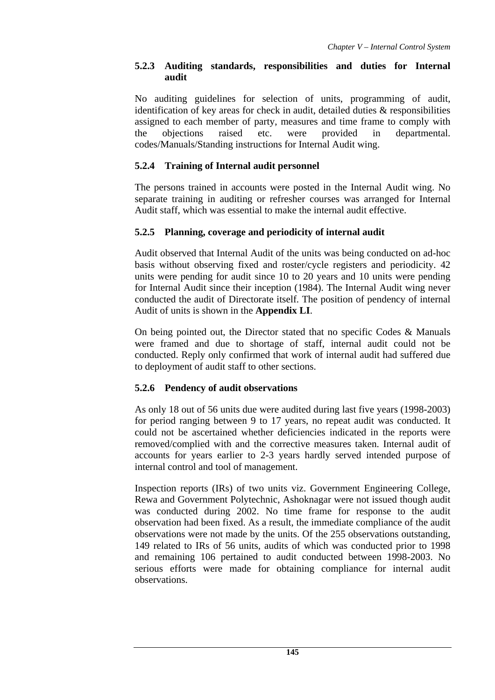## **5.2.3 Auditing standards, responsibilities and duties for Internal audit**

No auditing guidelines for selection of units, programming of audit, identification of key areas for check in audit, detailed duties & responsibilities assigned to each member of party, measures and time frame to comply with the objections raised etc. were provided in departmental. codes/Manuals/Standing instructions for Internal Audit wing.

# **5.2.4 Training of Internal audit personnel**

The persons trained in accounts were posted in the Internal Audit wing. No separate training in auditing or refresher courses was arranged for Internal Audit staff, which was essential to make the internal audit effective.

## **5.2.5 Planning, coverage and periodicity of internal audit**

Audit observed that Internal Audit of the units was being conducted on ad-hoc basis without observing fixed and roster/cycle registers and periodicity. 42 units were pending for audit since 10 to 20 years and 10 units were pending for Internal Audit since their inception (1984). The Internal Audit wing never conducted the audit of Directorate itself. The position of pendency of internal Audit of units is shown in the **Appendix LI**.

On being pointed out, the Director stated that no specific Codes  $\&$  Manuals were framed and due to shortage of staff, internal audit could not be conducted. Reply only confirmed that work of internal audit had suffered due to deployment of audit staff to other sections.

## **5.2.6 Pendency of audit observations**

As only 18 out of 56 units due were audited during last five years (1998-2003) for period ranging between 9 to 17 years, no repeat audit was conducted. It could not be ascertained whether deficiencies indicated in the reports were removed/complied with and the corrective measures taken. Internal audit of accounts for years earlier to 2-3 years hardly served intended purpose of internal control and tool of management.

Inspection reports (IRs) of two units viz. Government Engineering College, Rewa and Government Polytechnic, Ashoknagar were not issued though audit was conducted during 2002. No time frame for response to the audit observation had been fixed. As a result, the immediate compliance of the audit observations were not made by the units. Of the 255 observations outstanding, 149 related to IRs of 56 units, audits of which was conducted prior to 1998 and remaining 106 pertained to audit conducted between 1998-2003. No serious efforts were made for obtaining compliance for internal audit observations.